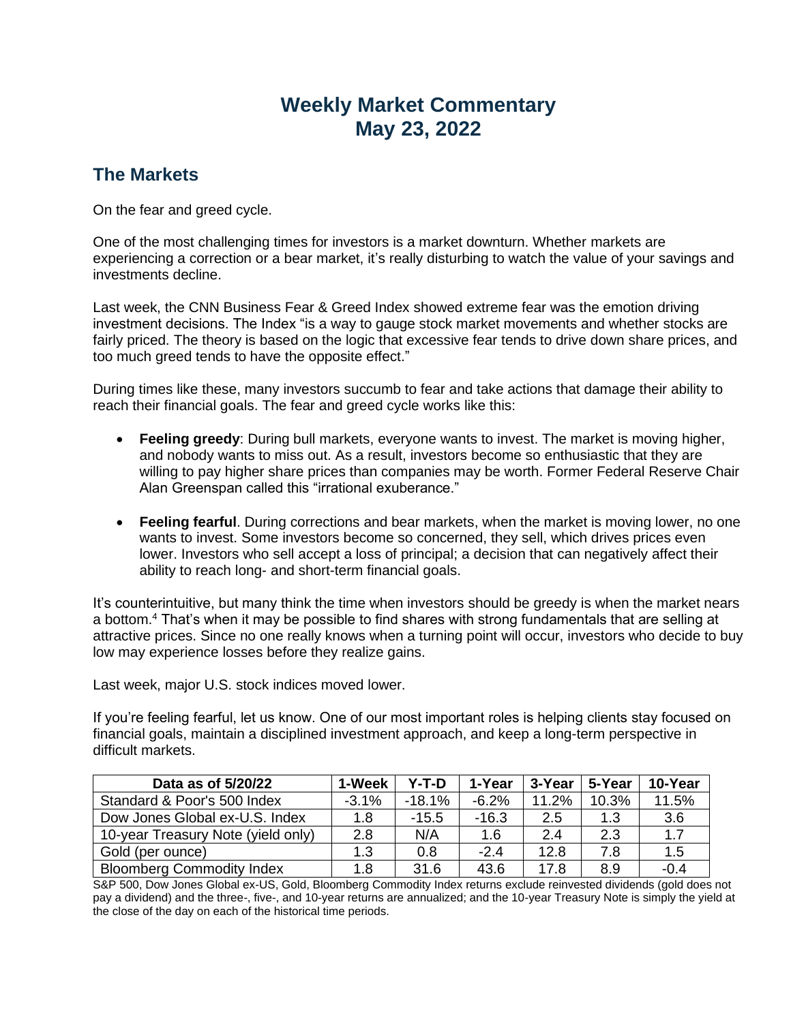# **Weekly Market Commentary May 23, 2022**

## **The Markets**

On the fear and greed cycle.

One of the most challenging times for investors is a market downturn. Whether markets are experiencing a correction or a bear market, it's really disturbing to watch the value of your savings and investments decline.

Last week, the CNN Business Fear & Greed Index showed extreme fear was the emotion driving investment decisions. The Index "is a way to gauge stock market movements and whether stocks are fairly priced. The theory is based on the logic that excessive fear tends to drive down share prices, and too much greed tends to have the opposite effect."

During times like these, many investors succumb to fear and take actions that damage their ability to reach their financial goals. The fear and greed cycle works like this:

- **Feeling greedy**: During bull markets, everyone wants to invest. The market is moving higher, and nobody wants to miss out. As a result, investors become so enthusiastic that they are willing to pay higher share prices than companies may be worth. Former Federal Reserve Chair Alan Greenspan called this "irrational exuberance."
- **Feeling fearful**. During corrections and bear markets, when the market is moving lower, no one wants to invest. Some investors become so concerned, they sell, which drives prices even lower. Investors who sell accept a loss of principal; a decision that can negatively affect their ability to reach long- and short-term financial goals.

It's counterintuitive, but many think the time when investors should be greedy is when the market nears a bottom.<sup>4</sup> That's when it may be possible to find shares with strong fundamentals that are selling at attractive prices. Since no one really knows when a turning point will occur, investors who decide to buy low may experience losses before they realize gains.

Last week, major U.S. stock indices moved lower.

If you're feeling fearful, let us know. One of our most important roles is helping clients stay focused on financial goals, maintain a disciplined investment approach, and keep a long-term perspective in difficult markets.

| Data as of 5/20/22                 | 1-Week  | Y-T-D    | 1-Year   | 3-Year | 5-Year | 10-Year |
|------------------------------------|---------|----------|----------|--------|--------|---------|
| Standard & Poor's 500 Index        | $-3.1%$ | $-18.1%$ | $-6.2\%$ | 11.2%  | 10.3%  | 11.5%   |
| Dow Jones Global ex-U.S. Index     | 1.8     | $-15.5$  | $-16.3$  | 2.5    | 1.3    | 3.6     |
| 10-year Treasury Note (yield only) | 2.8     | N/A      | 1.6      | 2.4    | 2.3    | 1.7     |
| Gold (per ounce)                   | 1.3     | 0.8      | $-2.4$   | 12.8   | 7.8    | 1.5     |
| <b>Bloomberg Commodity Index</b>   | 1.8     | 31.6     | 43.6     | 17.8   | 8.9    | $-0.4$  |

S&P 500, Dow Jones Global ex-US, Gold, Bloomberg Commodity Index returns exclude reinvested dividends (gold does not pay a dividend) and the three-, five-, and 10-year returns are annualized; and the 10-year Treasury Note is simply the yield at the close of the day on each of the historical time periods.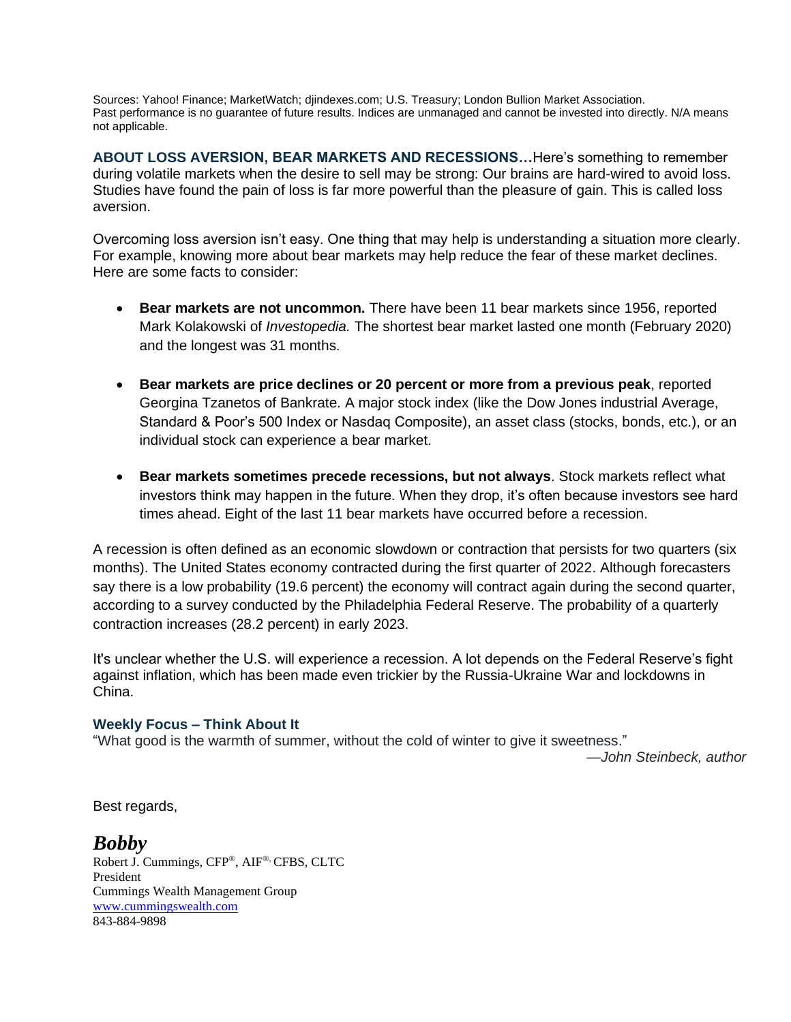Sources: Yahoo! Finance; MarketWatch; djindexes.com; U.S. Treasury; London Bullion Market Association. Past performance is no guarantee of future results. Indices are unmanaged and cannot be invested into directly. N/A means not applicable.

**ABOUT LOSS AVERSION, BEAR MARKETS AND RECESSIONS…**Here's something to remember during volatile markets when the desire to sell may be strong: Our brains are hard-wired to avoid loss. Studies have found the pain of loss is far more powerful than the pleasure of gain. This is called loss aversion.

Overcoming loss aversion isn't easy. One thing that may help is understanding a situation more clearly. For example, knowing more about bear markets may help reduce the fear of these market declines. Here are some facts to consider:

- **Bear markets are not uncommon.** There have been 11 bear markets since 1956, reported Mark Kolakowski of *Investopedia.* The shortest bear market lasted one month (February 2020) and the longest was 31 months.
- **Bear markets are price declines or 20 percent or more from a previous peak**, reported Georgina Tzanetos of Bankrate. A major stock index (like the Dow Jones industrial Average, Standard & Poor's 500 Index or Nasdaq Composite), an asset class (stocks, bonds, etc.), or an individual stock can experience a bear market.
- **Bear markets sometimes precede recessions, but not always**. Stock markets reflect what investors think may happen in the future. When they drop, it's often because investors see hard times ahead. Eight of the last 11 bear markets have occurred before a recession.

A recession is often defined as an economic slowdown or contraction that persists for two quarters (six months). The United States economy contracted during the first quarter of 2022. Although forecasters say there is a low probability (19.6 percent) the economy will contract again during the second quarter, according to a survey conducted by the Philadelphia Federal Reserve. The probability of a quarterly contraction increases (28.2 percent) in early 2023.

It's unclear whether the U.S. will experience a recession. A lot depends on the Federal Reserve's fight against inflation, which has been made even trickier by the Russia-Ukraine War and lockdowns in China.

### **Weekly Focus – Think About It**

"What good is the warmth of summer, without the cold of winter to give it sweetness."

*—John Steinbeck, author*

Best regards,

### *Bobby*

Robert J. Cummings, CFP®, AIF®, CFBS, CLTC President Cummings Wealth Management Group [www.cummingswealth.com](http://www.cummingswealth.com/) 843-884-9898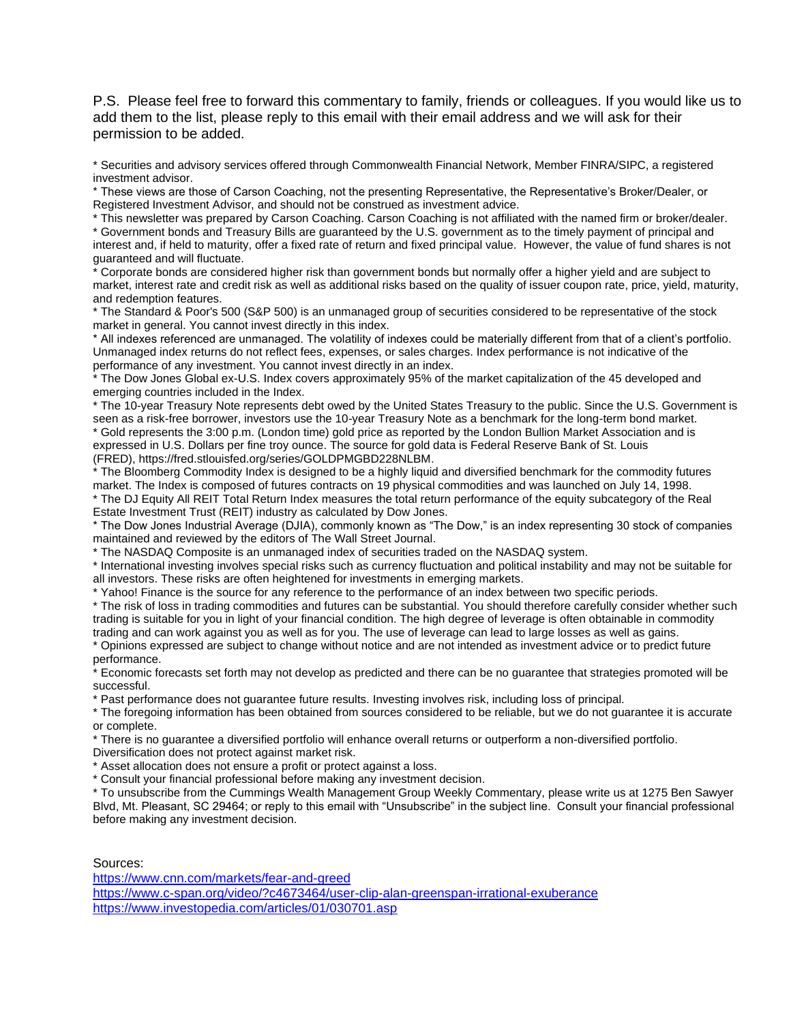P.S. Please feel free to forward this commentary to family, friends or colleagues. If you would like us to add them to the list, please reply to this email with their email address and we will ask for their permission to be added.

\* Securities and advisory services offered through Commonwealth Financial Network, Member FINRA/SIPC, a registered investment advisor.

\* These views are those of Carson Coaching, not the presenting Representative, the Representative's Broker/Dealer, or Registered Investment Advisor, and should not be construed as investment advice.

\* This newsletter was prepared by Carson Coaching. Carson Coaching is not affiliated with the named firm or broker/dealer. \* Government bonds and Treasury Bills are guaranteed by the U.S. government as to the timely payment of principal and interest and, if held to maturity, offer a fixed rate of return and fixed principal value. However, the value of fund shares is not guaranteed and will fluctuate.

Corporate bonds are considered higher risk than government bonds but normally offer a higher yield and are subject to market, interest rate and credit risk as well as additional risks based on the quality of issuer coupon rate, price, yield, maturity, and redemption features.

\* The Standard & Poor's 500 (S&P 500) is an unmanaged group of securities considered to be representative of the stock market in general. You cannot invest directly in this index.

\* All indexes referenced are unmanaged. The volatility of indexes could be materially different from that of a client's portfolio. Unmanaged index returns do not reflect fees, expenses, or sales charges. Index performance is not indicative of the performance of any investment. You cannot invest directly in an index.

\* The Dow Jones Global ex-U.S. Index covers approximately 95% of the market capitalization of the 45 developed and emerging countries included in the Index.

\* The 10-year Treasury Note represents debt owed by the United States Treasury to the public. Since the U.S. Government is seen as a risk-free borrower, investors use the 10-year Treasury Note as a benchmark for the long-term bond market.

\* Gold represents the 3:00 p.m. (London time) gold price as reported by the London Bullion Market Association and is expressed in U.S. Dollars per fine troy ounce. The source for gold data is Federal Reserve Bank of St. Louis (FRED), https://fred.stlouisfed.org/series/GOLDPMGBD228NLBM.

\* The Bloomberg Commodity Index is designed to be a highly liquid and diversified benchmark for the commodity futures market. The Index is composed of futures contracts on 19 physical commodities and was launched on July 14, 1998.

\* The DJ Equity All REIT Total Return Index measures the total return performance of the equity subcategory of the Real Estate Investment Trust (REIT) industry as calculated by Dow Jones.

\* The Dow Jones Industrial Average (DJIA), commonly known as "The Dow," is an index representing 30 stock of companies maintained and reviewed by the editors of The Wall Street Journal.

\* The NASDAQ Composite is an unmanaged index of securities traded on the NASDAQ system.

\* International investing involves special risks such as currency fluctuation and political instability and may not be suitable for all investors. These risks are often heightened for investments in emerging markets.

\* Yahoo! Finance is the source for any reference to the performance of an index between two specific periods.

\* The risk of loss in trading commodities and futures can be substantial. You should therefore carefully consider whether such trading is suitable for you in light of your financial condition. The high degree of leverage is often obtainable in commodity trading and can work against you as well as for you. The use of leverage can lead to large losses as well as gains.

\* Opinions expressed are subject to change without notice and are not intended as investment advice or to predict future performance.

\* Economic forecasts set forth may not develop as predicted and there can be no guarantee that strategies promoted will be successful.

\* Past performance does not guarantee future results. Investing involves risk, including loss of principal.

\* The foregoing information has been obtained from sources considered to be reliable, but we do not guarantee it is accurate or complete.

\* There is no guarantee a diversified portfolio will enhance overall returns or outperform a non-diversified portfolio.

Diversification does not protect against market risk.

\* Asset allocation does not ensure a profit or protect against a loss.

\* Consult your financial professional before making any investment decision.

\* To unsubscribe from the Cummings Wealth Management Group Weekly Commentary, please write us at 1275 Ben Sawyer Blvd, Mt. Pleasant, SC 29464; or reply to this email with "Unsubscribe" in the subject line. Consult your financial professional before making any investment decision.

#### Sources:

<https://www.cnn.com/markets/fear-and-greed> <https://www.c-span.org/video/?c4673464/user-clip-alan-greenspan-irrational-exuberance> <https://www.investopedia.com/articles/01/030701.asp>